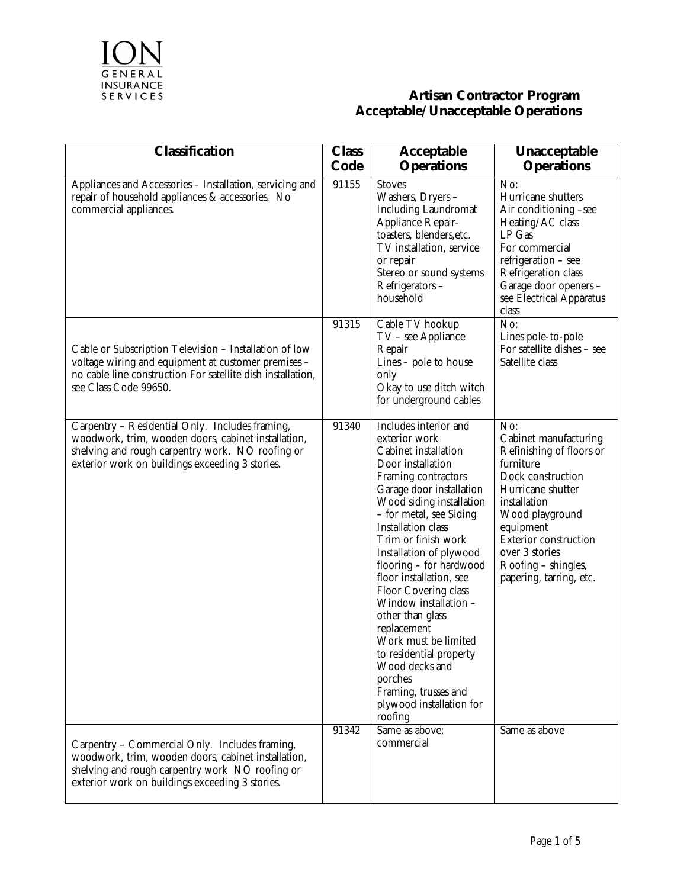

| <b>Classification</b>                                                                                                                                                                                         | <b>Class</b><br>Code | <b>Acceptable</b><br><b>Operations</b>                                                                                                                                                                                                                                                                                                                                                                                                                                                                                                                         | Unacceptable<br><b>Operations</b>                                                                                                                                                                                                                                   |
|---------------------------------------------------------------------------------------------------------------------------------------------------------------------------------------------------------------|----------------------|----------------------------------------------------------------------------------------------------------------------------------------------------------------------------------------------------------------------------------------------------------------------------------------------------------------------------------------------------------------------------------------------------------------------------------------------------------------------------------------------------------------------------------------------------------------|---------------------------------------------------------------------------------------------------------------------------------------------------------------------------------------------------------------------------------------------------------------------|
| Appliances and Accessories - Installation, servicing and<br>repair of household appliances & accessories. No<br>commercial appliances.                                                                        | 91155                | <b>Stoves</b><br>Washers, Dryers -<br><b>Including Laundromat</b><br>Appliance Repair-<br>toasters, blenders, etc.<br>TV installation, service<br>or repair<br>Stereo or sound systems<br>Refrigerators-<br>household                                                                                                                                                                                                                                                                                                                                          | No:<br>Hurricane shutters<br>Air conditioning -see<br>Heating/AC class<br>LP Gas<br>For commercial<br>refrigeration - see<br>Refrigeration class<br>Garage door openers -<br>see Electrical Apparatus<br>class                                                      |
| Cable or Subscription Television - Installation of low<br>voltage wiring and equipment at customer premises -<br>no cable line construction For satellite dish installation,<br>see Class Code 99650.         | 91315                | Cable TV hookup<br>TV - see Appliance<br>Repair<br>Lines - pole to house<br>only<br>Okay to use ditch witch<br>for underground cables                                                                                                                                                                                                                                                                                                                                                                                                                          | No:<br>Lines pole-to-pole<br>For satellite dishes - see<br>Satellite class                                                                                                                                                                                          |
| Carpentry - Residential Only. Includes framing,<br>woodwork, trim, wooden doors, cabinet installation,<br>shelving and rough carpentry work. NO roofing or<br>exterior work on buildings exceeding 3 stories. | 91340                | Includes interior and<br>exterior work<br>Cabinet installation<br>Door installation<br>Framing contractors<br>Garage door installation<br>Wood siding installation<br>- for metal, see Siding<br>Installation class<br>Trim or finish work<br>Installation of plywood<br>flooring - for hardwood<br>floor installation, see<br>Floor Covering class<br>Window installation -<br>other than glass<br>replacement<br>Work must be limited<br>to residential property<br>Wood decks and<br>porches<br>Framing, trusses and<br>plywood installation for<br>roofing | No:<br>Cabinet manufacturing<br>Refinishing of floors or<br>furniture<br>Dock construction<br>Hurricane shutter<br>installation<br>Wood playground<br>equipment<br><b>Exterior construction</b><br>over 3 stories<br>Roofing - shingles,<br>papering, tarring, etc. |
| Carpentry - Commercial Only. Includes framing,<br>woodwork, trim, wooden doors, cabinet installation,<br>shelving and rough carpentry work NO roofing or<br>exterior work on buildings exceeding 3 stories.   | 91342                | Same as above:<br>commercial                                                                                                                                                                                                                                                                                                                                                                                                                                                                                                                                   | Same as above                                                                                                                                                                                                                                                       |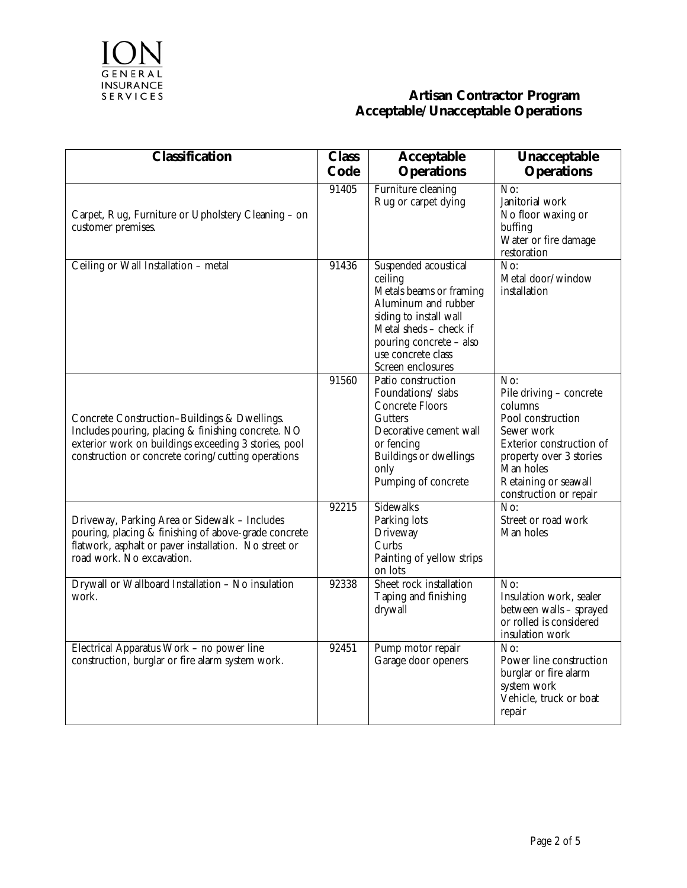

| <b>Classification</b>                                                                                                                                                                                            | <b>Class</b> | <b>Acceptable</b>                                                                                                                                                                                           | <b>Unacceptable</b>                                                                                                                                                                                                    |
|------------------------------------------------------------------------------------------------------------------------------------------------------------------------------------------------------------------|--------------|-------------------------------------------------------------------------------------------------------------------------------------------------------------------------------------------------------------|------------------------------------------------------------------------------------------------------------------------------------------------------------------------------------------------------------------------|
|                                                                                                                                                                                                                  | Code         | <b>Operations</b>                                                                                                                                                                                           | <b>Operations</b>                                                                                                                                                                                                      |
| Carpet, Rug, Furniture or Upholstery Cleaning - on<br>customer premises.                                                                                                                                         | 91405        | Furniture cleaning<br>Rug or carpet dying                                                                                                                                                                   | No:<br>Janitorial work<br>No floor waxing or<br>buffing<br>Water or fire damage<br>restoration                                                                                                                         |
| Ceiling or Wall Installation - metal                                                                                                                                                                             | 91436        | Suspended acoustical<br>ceiling<br>Metals beams or framing<br>Aluminum and rubber<br>siding to install wall<br>Metal sheds - check if<br>pouring concrete - also<br>use concrete class<br>Screen enclosures | $\overline{\text{No:}}$<br>Metal door/window<br>installation                                                                                                                                                           |
| Concrete Construction-Buildings & Dwellings.<br>Includes pouring, placing & finishing concrete. NO<br>exterior work on buildings exceeding 3 stories, pool<br>construction or concrete coring/cutting operations | 91560        | Patio construction<br>Foundations/slabs<br>Concrete Floors<br>Gutters<br>Decorative cement wall<br>or fencing<br>Buildings or dwellings<br>only<br>Pumping of concrete                                      | $\overline{\text{No:}}$<br>Pile driving - concrete<br>columns<br>Pool construction<br>Sewer work<br>Exterior construction of<br>property over 3 stories<br>Man holes<br>Retaining or seawall<br>construction or repair |
| Driveway, Parking Area or Sidewalk - Includes<br>pouring, placing & finishing of above-grade concrete<br>flatwork, asphalt or paver installation. No street or<br>road work. No excavation.                      | 92215        | <b>Sidewalks</b><br>Parking lots<br>Driveway<br>Curbs<br>Painting of yellow strips<br>on lots                                                                                                               | No:<br>Street or road work<br>Man holes                                                                                                                                                                                |
| Drywall or Wallboard Installation - No insulation<br>work.                                                                                                                                                       | 92338        | Sheet rock installation<br>Taping and finishing<br>drywall                                                                                                                                                  | No:<br>Insulation work, sealer<br>between walls - sprayed<br>or rolled is considered<br>insulation work                                                                                                                |
| Electrical Apparatus Work - no power line<br>construction, burglar or fire alarm system work.                                                                                                                    | 92451        | Pump motor repair<br>Garage door openers                                                                                                                                                                    | No:<br>Power line construction<br>burglar or fire alarm<br>system work<br>Vehicle, truck or boat<br>repair                                                                                                             |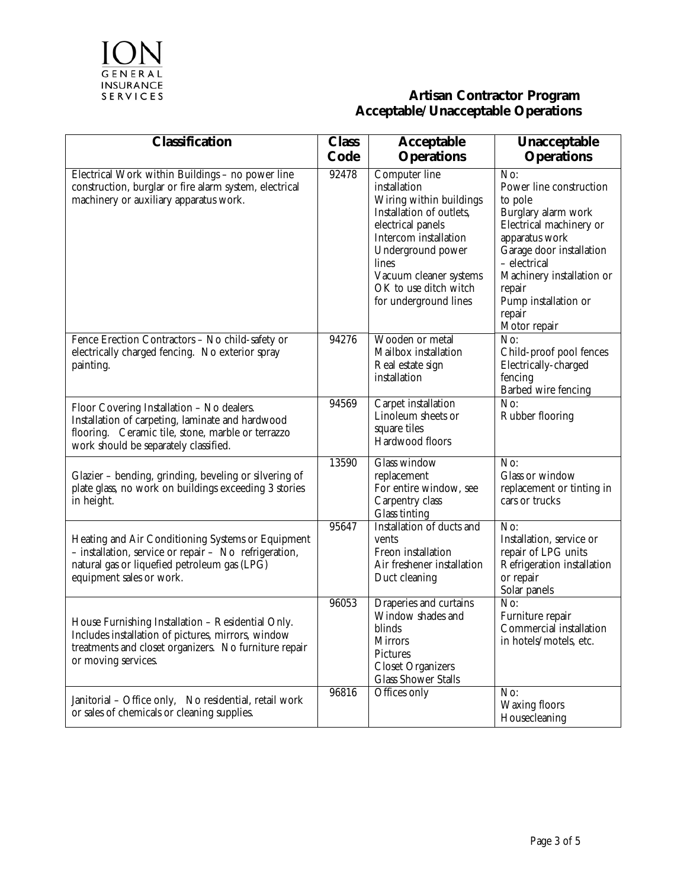

| <b>Classification</b>                                                                                                                                                                       | <b>Class</b><br>Code | <b>Acceptable</b><br><b>Operations</b>                                                                                                                                                                                                       | Unacceptable<br><b>Operations</b>                                                                                                                                                                                                                  |
|---------------------------------------------------------------------------------------------------------------------------------------------------------------------------------------------|----------------------|----------------------------------------------------------------------------------------------------------------------------------------------------------------------------------------------------------------------------------------------|----------------------------------------------------------------------------------------------------------------------------------------------------------------------------------------------------------------------------------------------------|
| Electrical Work within Buildings - no power line<br>construction, burglar or fire alarm system, electrical<br>machinery or auxiliary apparatus work.                                        | 92478                | Computer line<br>installation<br>Wiring within buildings<br>Installation of outlets,<br>electrical panels<br>Intercom installation<br>Underground power<br>lines<br>Vacuum cleaner systems<br>OK to use ditch witch<br>for underground lines | No:<br>Power line construction<br>to pole<br>Burglary alarm work<br>Electrical machinery or<br>apparatus work<br>Garage door installation<br>- electrical<br>Machinery installation or<br>repair<br>Pump installation or<br>repair<br>Motor repair |
| Fence Erection Contractors - No child-safety or<br>electrically charged fencing. No exterior spray<br>painting.                                                                             | 94276                | Wooden or metal<br>Mailbox installation<br>Real estate sign<br>installation                                                                                                                                                                  | $\overline{\text{No:}}$<br>Child-proof pool fences<br>Electrically-charged<br>fencing<br>Barbed wire fencing                                                                                                                                       |
| Floor Covering Installation - No dealers.<br>Installation of carpeting, laminate and hardwood<br>flooring. Ceramic tile, stone, marble or terrazzo<br>work should be separately classified. | 94569                | Carpet installation<br>Linoleum sheets or<br>square tiles<br>Hardwood floors                                                                                                                                                                 | No:<br>Rubber flooring                                                                                                                                                                                                                             |
| Glazier - bending, grinding, beveling or silvering of<br>plate glass, no work on buildings exceeding 3 stories<br>in height.                                                                | 13590                | Glass window<br>replacement<br>For entire window, see<br>Carpentry class<br>Glass tinting                                                                                                                                                    | No:<br>Glass or window<br>replacement or tinting in<br>cars or trucks                                                                                                                                                                              |
| Heating and Air Conditioning Systems or Equipment<br>- installation, service or repair - No refrigeration,<br>natural gas or liquefied petroleum gas (LPG)<br>equipment sales or work.      | 95647                | Installation of ducts and<br>vents<br>Freon installation<br>Air freshener installation<br>Duct cleaning                                                                                                                                      | $\overline{\text{No:}}$<br>Installation, service or<br>repair of LPG units<br>Refrigeration installation<br>or repair<br>Solar panels                                                                                                              |
| House Furnishing Installation - Residential Only.<br>Includes installation of pictures, mirrors, window<br>treatments and closet organizers. No furniture repair<br>or moving services.     | 96053                | Draperies and curtains<br>Window shades and<br>blinds<br><b>Mirrors</b><br>Pictures<br><b>Closet Organizers</b><br><b>Glass Shower Stalls</b>                                                                                                | No:<br>Furniture repair<br>Commercial installation<br>in hotels/motels, etc.                                                                                                                                                                       |
| Janitorial - Office only, No residential, retail work<br>or sales of chemicals or cleaning supplies.                                                                                        | 96816                | Offices only                                                                                                                                                                                                                                 | No:<br><b>Waxing floors</b><br>Housecleaning                                                                                                                                                                                                       |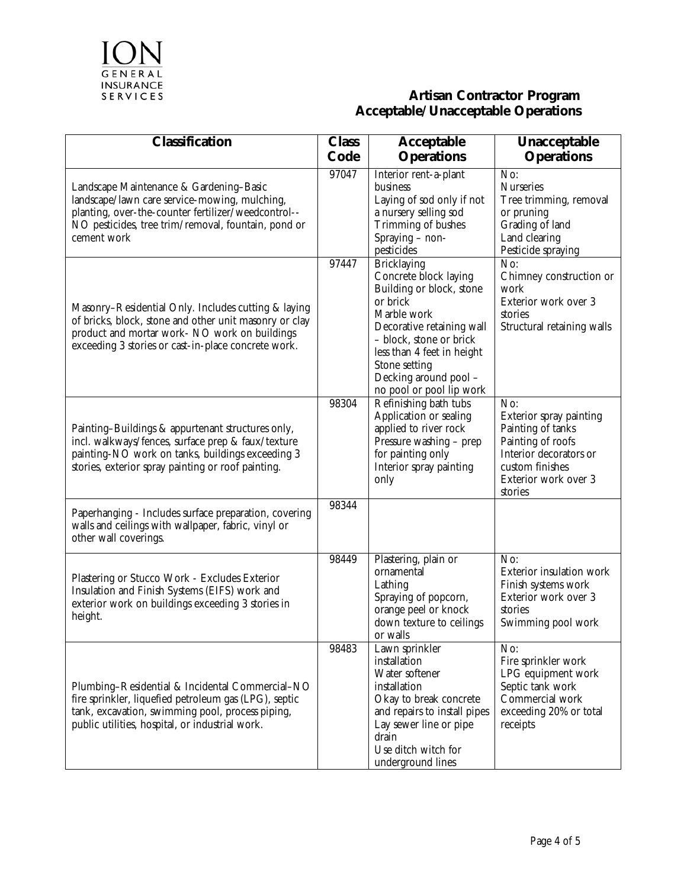

| <b>Classification</b>                                                                                                                                                                                                 | <b>Class</b><br>Code | <b>Acceptable</b><br><b>Operations</b>                                                                                                                                                                                                                         | Unacceptable<br><b>Operations</b>                                                                                                                        |
|-----------------------------------------------------------------------------------------------------------------------------------------------------------------------------------------------------------------------|----------------------|----------------------------------------------------------------------------------------------------------------------------------------------------------------------------------------------------------------------------------------------------------------|----------------------------------------------------------------------------------------------------------------------------------------------------------|
| Landscape Maintenance & Gardening-Basic<br>landscape/lawn care service-mowing, mulching,<br>planting, over-the-counter fertilizer/weedcontrol--<br>NO pesticides, tree trim/removal, fountain, pond or<br>cement work | 97047                | Interior rent-a-plant<br>business<br>Laying of sod only if not<br>a nursery selling sod<br>Trimming of bushes<br>Spraying - non-<br>pesticides                                                                                                                 | $\overline{\text{No:}}$<br><b>Nurseries</b><br>Tree trimming, removal<br>or pruning<br>Grading of land<br>Land clearing<br>Pesticide spraying            |
| Masonry-Residential Only. Includes cutting & laying<br>of bricks, block, stone and other unit masonry or clay<br>product and mortar work- NO work on buildings<br>exceeding 3 stories or cast-in-place concrete work. | 97447                | <b>Bricklaying</b><br>Concrete block laying<br>Building or block, stone<br>or brick<br>Marble work<br>Decorative retaining wall<br>- block, stone or brick<br>less than 4 feet in height<br>Stone setting<br>Decking around pool -<br>no pool or pool lip work | $\overline{\text{No:}}$<br>Chimney construction or<br>work<br>Exterior work over 3<br>stories<br>Structural retaining walls                              |
| Painting-Buildings & appurtenant structures only,<br>incl. walkways/fences, surface prep & faux/texture<br>painting-NO work on tanks, buildings exceeding 3<br>stories, exterior spray painting or roof painting.     | 98304                | Refinishing bath tubs<br>Application or sealing<br>applied to river rock<br>Pressure washing - prep<br>for painting only<br>Interior spray painting<br>only                                                                                                    | No:<br>Exterior spray painting<br>Painting of tanks<br>Painting of roofs<br>Interior decorators or<br>custom finishes<br>Exterior work over 3<br>stories |
| Paperhanging - Includes surface preparation, covering<br>walls and ceilings with wallpaper, fabric, vinyl or<br>other wall coverings.                                                                                 | 98344                |                                                                                                                                                                                                                                                                |                                                                                                                                                          |
| Plastering or Stucco Work - Excludes Exterior<br>Insulation and Finish Systems (EIFS) work and<br>exterior work on buildings exceeding 3 stories in<br>height.                                                        | 98449                | Plastering, plain or<br>ornamental<br>Lathing<br>Spraying of popcorn,<br>orange peel or knock<br>down texture to ceilings<br>or walls                                                                                                                          | No:<br>Exterior insulation work<br>Finish systems work<br>Exterior work over 3<br>stories<br>Swimming pool work                                          |
| Plumbing-Residential & Incidental Commercial-NO<br>fire sprinkler, liquefied petroleum gas (LPG), septic<br>tank, excavation, swimming pool, process piping,<br>public utilities, hospital, or industrial work.       | 98483                | Lawn sprinkler<br>installation<br>Water softener<br>installation<br>Okay to break concrete<br>and repairs to install pipes<br>Lay sewer line or pipe<br>drain<br>Use ditch witch for<br>underground lines                                                      | No:<br>Fire sprinkler work<br>LPG equipment work<br>Septic tank work<br>Commercial work<br>exceeding 20% or total<br>receipts                            |